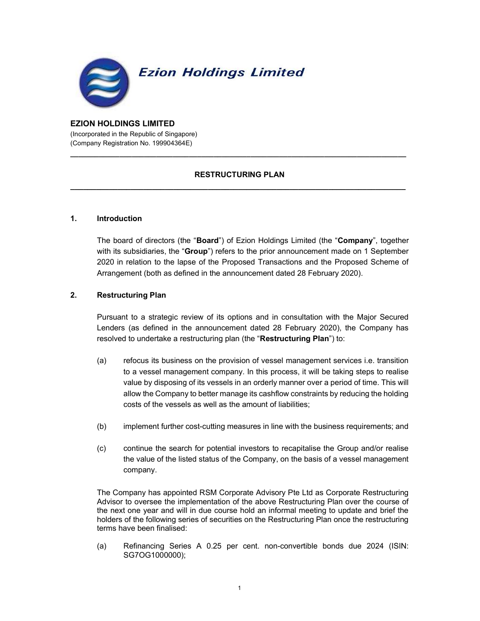

#### EZION HOLDINGS LIMITED (Incorporated in the Republic of Singapore) (Company Registration No. 199904364E)

# RESTRUCTURING PLAN  $\_$  . The contribution of the contribution of the contribution of the contribution of the contribution of the contribution of  $\mathcal{L}_\text{max}$

\_\_\_\_\_\_\_\_\_\_\_\_\_\_\_\_\_\_\_\_\_\_\_\_\_\_\_\_\_\_\_\_\_\_\_\_\_\_\_\_\_\_\_\_\_\_\_\_\_\_\_\_\_\_\_\_\_\_\_\_\_\_\_\_\_\_\_\_\_\_\_\_\_\_\_\_\_\_\_\_\_\_

### 1. Introduction

The board of directors (the "Board") of Ezion Holdings Limited (the "Company", together with its subsidiaries, the "Group") refers to the prior announcement made on 1 September 2020 in relation to the lapse of the Proposed Transactions and the Proposed Scheme of Arrangement (both as defined in the announcement dated 28 February 2020).

### 2. Restructuring Plan

Pursuant to a strategic review of its options and in consultation with the Major Secured Lenders (as defined in the announcement dated 28 February 2020), the Company has resolved to undertake a restructuring plan (the "Restructuring Plan") to:

- (a) refocus its business on the provision of vessel management services i.e. transition to a vessel management company. In this process, it will be taking steps to realise value by disposing of its vessels in an orderly manner over a period of time. This will allow the Company to better manage its cashflow constraints by reducing the holding costs of the vessels as well as the amount of liabilities;
- (b) implement further cost-cutting measures in line with the business requirements; and
- (c) continue the search for potential investors to recapitalise the Group and/or realise the value of the listed status of the Company, on the basis of a vessel management company.

The Company has appointed RSM Corporate Advisory Pte Ltd as Corporate Restructuring Advisor to oversee the implementation of the above Restructuring Plan over the course of the next one year and will in due course hold an informal meeting to update and brief the holders of the following series of securities on the Restructuring Plan once the restructuring terms have been finalised:

(a) Refinancing Series A 0.25 per cent. non-convertible bonds due 2024 (ISIN: SG7OG1000000);